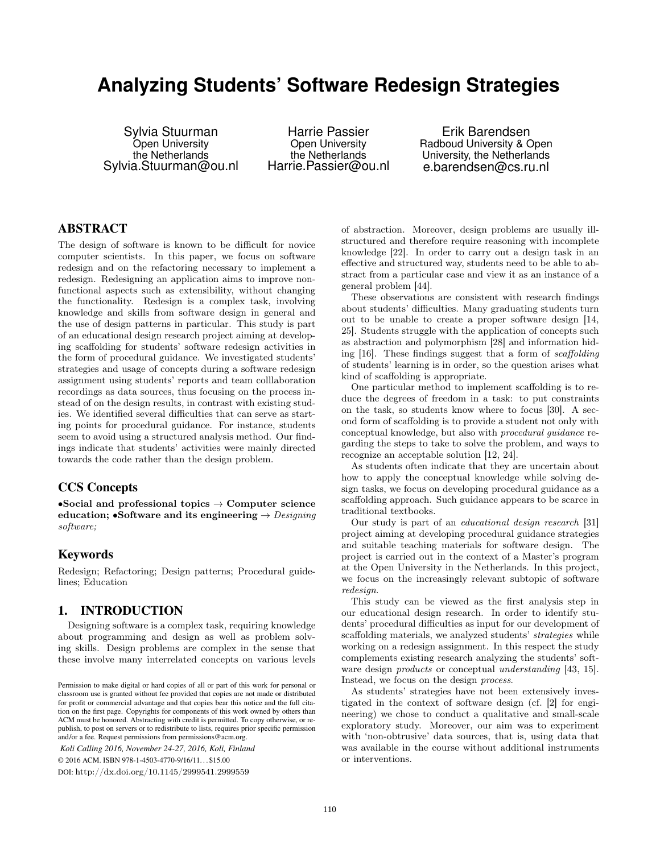# **Analyzing Students' Software Redesign Strategies**

Sylvia Stuurman Open University the Netherlands Sylvia.Stuurman@ou.nl

Harrie Passier Open University the Netherlands Harrie.Passier@ou.nl

Erik Barendsen Radboud University & Open University, the Netherlands e.barendsen@cs.ru.nl

### ABSTRACT

The design of software is known to be difficult for novice computer scientists. In this paper, we focus on software redesign and on the refactoring necessary to implement a redesign. Redesigning an application aims to improve nonfunctional aspects such as extensibility, without changing the functionality. Redesign is a complex task, involving knowledge and skills from software design in general and the use of design patterns in particular. This study is part of an educational design research project aiming at developing scaffolding for students' software redesign activities in the form of procedural guidance. We investigated students' strategies and usage of concepts during a software redesign assignment using students' reports and team colllaboration recordings as data sources, thus focusing on the process instead of on the design results, in contrast with existing studies. We identified several difficulties that can serve as starting points for procedural guidance. For instance, students seem to avoid using a structured analysis method. Our findings indicate that students' activities were mainly directed towards the code rather than the design problem.

### CCS Concepts

 $\bullet$ Social and professional topics  $\rightarrow$  Computer science education; •Software and its engineering  $\rightarrow$  Designing software;

### Keywords

Redesign; Refactoring; Design patterns; Procedural guidelines; Education

### 1. INTRODUCTION

Designing software is a complex task, requiring knowledge about programming and design as well as problem solving skills. Design problems are complex in the sense that these involve many interrelated concepts on various levels

*Koli Calling 2016, November 24-27, 2016, Koli, Finland* © 2016 ACM. ISBN 978-1-4503-4770-9/16/11. . . \$15.00

DOI: http://dx.doi.org/10.1145/2999541.2999559

of abstraction. Moreover, design problems are usually illstructured and therefore require reasoning with incomplete knowledge [22]. In order to carry out a design task in an effective and structured way, students need to be able to abstract from a particular case and view it as an instance of a general problem [44].

These observations are consistent with research findings about students' difficulties. Many graduating students turn out to be unable to create a proper software design [14, 25]. Students struggle with the application of concepts such as abstraction and polymorphism [28] and information hiding [16]. These findings suggest that a form of scaffolding of students' learning is in order, so the question arises what kind of scaffolding is appropriate.

One particular method to implement scaffolding is to reduce the degrees of freedom in a task: to put constraints on the task, so students know where to focus [30]. A second form of scaffolding is to provide a student not only with conceptual knowledge, but also with procedural guidance regarding the steps to take to solve the problem, and ways to recognize an acceptable solution [12, 24].

As students often indicate that they are uncertain about how to apply the conceptual knowledge while solving design tasks, we focus on developing procedural guidance as a scaffolding approach. Such guidance appears to be scarce in traditional textbooks.

Our study is part of an educational design research [31] project aiming at developing procedural guidance strategies and suitable teaching materials for software design. The project is carried out in the context of a Master's program at the Open University in the Netherlands. In this project, we focus on the increasingly relevant subtopic of software redesign.

This study can be viewed as the first analysis step in our educational design research. In order to identify students' procedural difficulties as input for our development of scaffolding materials, we analyzed students' *strategies* while working on a redesign assignment. In this respect the study complements existing research analyzing the students' software design *products* or conceptual *understanding* [43, 15]. Instead, we focus on the design process.

As students' strategies have not been extensively investigated in the context of software design (cf. [2] for engineering) we chose to conduct a qualitative and small-scale exploratory study. Moreover, our aim was to experiment with 'non-obtrusive' data sources, that is, using data that was available in the course without additional instruments or interventions.

Permission to make digital or hard copies of all or part of this work for personal or classroom use is granted without fee provided that copies are not made or distributed for profit or commercial advantage and that copies bear this notice and the full citation on the first page. Copyrights for components of this work owned by others than ACM must be honored. Abstracting with credit is permitted. To copy otherwise, or republish, to post on servers or to redistribute to lists, requires prior specific permission and/or a fee. Request permissions from permissions@acm.org.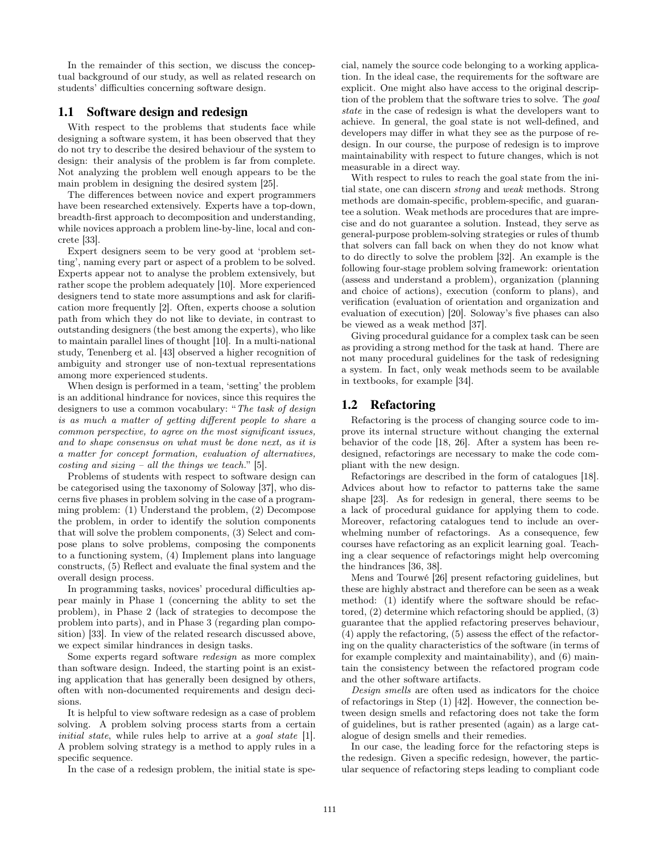In the remainder of this section, we discuss the conceptual background of our study, as well as related research on students' difficulties concerning software design.

### 1.1 Software design and redesign

With respect to the problems that students face while designing a software system, it has been observed that they do not try to describe the desired behaviour of the system to design: their analysis of the problem is far from complete. Not analyzing the problem well enough appears to be the main problem in designing the desired system [25].

The differences between novice and expert programmers have been researched extensively. Experts have a top-down, breadth-first approach to decomposition and understanding, while novices approach a problem line-by-line, local and concrete [33].

Expert designers seem to be very good at 'problem setting', naming every part or aspect of a problem to be solved. Experts appear not to analyse the problem extensively, but rather scope the problem adequately [10]. More experienced designers tend to state more assumptions and ask for clarification more frequently [2]. Often, experts choose a solution path from which they do not like to deviate, in contrast to outstanding designers (the best among the experts), who like to maintain parallel lines of thought [10]. In a multi-national study, Tenenberg et al. [43] observed a higher recognition of ambiguity and stronger use of non-textual representations among more experienced students.

When design is performed in a team, 'setting' the problem is an additional hindrance for novices, since this requires the designers to use a common vocabulary: "The task of design is as much a matter of getting different people to share a common perspective, to agree on the most significant issues, and to shape consensus on what must be done next, as it is a matter for concept formation, evaluation of alternatives, costing and sizing – all the things we teach." [5].

Problems of students with respect to software design can be categorised using the taxonomy of Soloway [37], who discerns five phases in problem solving in the case of a programming problem: (1) Understand the problem, (2) Decompose the problem, in order to identify the solution components that will solve the problem components, (3) Select and compose plans to solve problems, composing the components to a functioning system, (4) Implement plans into language constructs, (5) Reflect and evaluate the final system and the overall design process.

In programming tasks, novices' procedural difficulties appear mainly in Phase 1 (concerning the ablity to set the problem), in Phase 2 (lack of strategies to decompose the problem into parts), and in Phase 3 (regarding plan composition) [33]. In view of the related research discussed above, we expect similar hindrances in design tasks.

Some experts regard software redesign as more complex than software design. Indeed, the starting point is an existing application that has generally been designed by others, often with non-documented requirements and design decisions.

It is helpful to view software redesign as a case of problem solving. A problem solving process starts from a certain initial state, while rules help to arrive at a goal state [1]. A problem solving strategy is a method to apply rules in a specific sequence.

In the case of a redesign problem, the initial state is spe-

cial, namely the source code belonging to a working application. In the ideal case, the requirements for the software are explicit. One might also have access to the original description of the problem that the software tries to solve. The goal state in the case of redesign is what the developers want to achieve. In general, the goal state is not well-defined, and developers may differ in what they see as the purpose of redesign. In our course, the purpose of redesign is to improve maintainability with respect to future changes, which is not measurable in a direct way.

With respect to rules to reach the goal state from the initial state, one can discern strong and weak methods. Strong methods are domain-specific, problem-specific, and guarantee a solution. Weak methods are procedures that are imprecise and do not guarantee a solution. Instead, they serve as general-purpose problem-solving strategies or rules of thumb that solvers can fall back on when they do not know what to do directly to solve the problem [32]. An example is the following four-stage problem solving framework: orientation (assess and understand a problem), organization (planning and choice of actions), execution (conform to plans), and verification (evaluation of orientation and organization and evaluation of execution) [20]. Soloway's five phases can also be viewed as a weak method [37].

Giving procedural guidance for a complex task can be seen as providing a strong method for the task at hand. There are not many procedural guidelines for the task of redesigning a system. In fact, only weak methods seem to be available in textbooks, for example [34].

### 1.2 Refactoring

Refactoring is the process of changing source code to improve its internal structure without changing the external behavior of the code [18, 26]. After a system has been redesigned, refactorings are necessary to make the code compliant with the new design.

Refactorings are described in the form of catalogues [18]. Advices about how to refactor to patterns take the same shape [23]. As for redesign in general, there seems to be a lack of procedural guidance for applying them to code. Moreover, refactoring catalogues tend to include an overwhelming number of refactorings. As a consequence, few courses have refactoring as an explicit learning goal. Teaching a clear sequence of refactorings might help overcoming the hindrances [36, 38].

Mens and Tourwé [26] present refactoring guidelines, but these are highly abstract and therefore can be seen as a weak method: (1) identify where the software should be refactored, (2) determine which refactoring should be applied, (3) guarantee that the applied refactoring preserves behaviour, (4) apply the refactoring, (5) assess the effect of the refactoring on the quality characteristics of the software (in terms of for example complexity and maintainability), and (6) maintain the consistency between the refactored program code and the other software artifacts.

Design smells are often used as indicators for the choice of refactorings in Step (1) [42]. However, the connection between design smells and refactoring does not take the form of guidelines, but is rather presented (again) as a large catalogue of design smells and their remedies.

In our case, the leading force for the refactoring steps is the redesign. Given a specific redesign, however, the particular sequence of refactoring steps leading to compliant code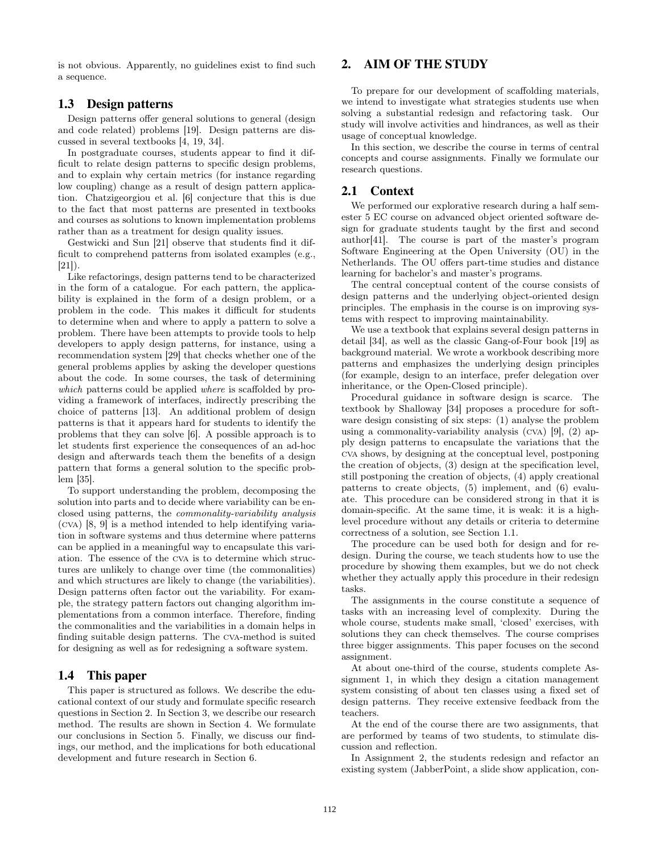is not obvious. Apparently, no guidelines exist to find such a sequence.

### 1.3 Design patterns

Design patterns offer general solutions to general (design and code related) problems [19]. Design patterns are discussed in several textbooks [4, 19, 34].

In postgraduate courses, students appear to find it difficult to relate design patterns to specific design problems, and to explain why certain metrics (for instance regarding low coupling) change as a result of design pattern application. Chatzigeorgiou et al. [6] conjecture that this is due to the fact that most patterns are presented in textbooks and courses as solutions to known implementation problems rather than as a treatment for design quality issues.

Gestwicki and Sun [21] observe that students find it difficult to comprehend patterns from isolated examples (e.g.,  $[21]$ .

Like refactorings, design patterns tend to be characterized in the form of a catalogue. For each pattern, the applicability is explained in the form of a design problem, or a problem in the code. This makes it difficult for students to determine when and where to apply a pattern to solve a problem. There have been attempts to provide tools to help developers to apply design patterns, for instance, using a recommendation system [29] that checks whether one of the general problems applies by asking the developer questions about the code. In some courses, the task of determining which patterns could be applied where is scaffolded by providing a framework of interfaces, indirectly prescribing the choice of patterns [13]. An additional problem of design patterns is that it appears hard for students to identify the problems that they can solve [6]. A possible approach is to let students first experience the consequences of an ad-hoc design and afterwards teach them the benefits of a design pattern that forms a general solution to the specific problem [35].

To support understanding the problem, decomposing the solution into parts and to decide where variability can be enclosed using patterns, the commonality-variability analysis (cva) [8, 9] is a method intended to help identifying variation in software systems and thus determine where patterns can be applied in a meaningful way to encapsulate this variation. The essence of the cva is to determine which structures are unlikely to change over time (the commonalities) and which structures are likely to change (the variabilities). Design patterns often factor out the variability. For example, the strategy pattern factors out changing algorithm implementations from a common interface. Therefore, finding the commonalities and the variabilities in a domain helps in finding suitable design patterns. The cva-method is suited for designing as well as for redesigning a software system.

### 1.4 This paper

This paper is structured as follows. We describe the educational context of our study and formulate specific research questions in Section 2. In Section 3, we describe our research method. The results are shown in Section 4. We formulate our conclusions in Section 5. Finally, we discuss our findings, our method, and the implications for both educational development and future research in Section 6.

### 2. AIM OF THE STUDY

To prepare for our development of scaffolding materials, we intend to investigate what strategies students use when solving a substantial redesign and refactoring task. Our study will involve activities and hindrances, as well as their usage of conceptual knowledge.

In this section, we describe the course in terms of central concepts and course assignments. Finally we formulate our research questions.

### 2.1 Context

We performed our explorative research during a half semester 5 EC course on advanced object oriented software design for graduate students taught by the first and second author[41]. The course is part of the master's program Software Engineering at the Open University (OU) in the Netherlands. The OU offers part-time studies and distance learning for bachelor's and master's programs.

The central conceptual content of the course consists of design patterns and the underlying object-oriented design principles. The emphasis in the course is on improving systems with respect to improving maintainability.

We use a textbook that explains several design patterns in detail [34], as well as the classic Gang-of-Four book [19] as background material. We wrote a workbook describing more patterns and emphasizes the underlying design principles (for example, design to an interface, prefer delegation over inheritance, or the Open-Closed principle).

Procedural guidance in software design is scarce. The textbook by Shalloway [34] proposes a procedure for software design consisting of six steps: (1) analyse the problem using a commonality-variability analysis (cva) [9], (2) apply design patterns to encapsulate the variations that the cva shows, by designing at the conceptual level, postponing the creation of objects, (3) design at the specification level, still postponing the creation of objects, (4) apply creational patterns to create objects, (5) implement, and (6) evaluate. This procedure can be considered strong in that it is domain-specific. At the same time, it is weak: it is a highlevel procedure without any details or criteria to determine correctness of a solution, see Section 1.1.

The procedure can be used both for design and for redesign. During the course, we teach students how to use the procedure by showing them examples, but we do not check whether they actually apply this procedure in their redesign tasks.

The assignments in the course constitute a sequence of tasks with an increasing level of complexity. During the whole course, students make small, 'closed' exercises, with solutions they can check themselves. The course comprises three bigger assignments. This paper focuses on the second assignment.

At about one-third of the course, students complete Assignment 1, in which they design a citation management system consisting of about ten classes using a fixed set of design patterns. They receive extensive feedback from the teachers.

At the end of the course there are two assignments, that are performed by teams of two students, to stimulate discussion and reflection.

In Assignment 2, the students redesign and refactor an existing system (JabberPoint, a slide show application, con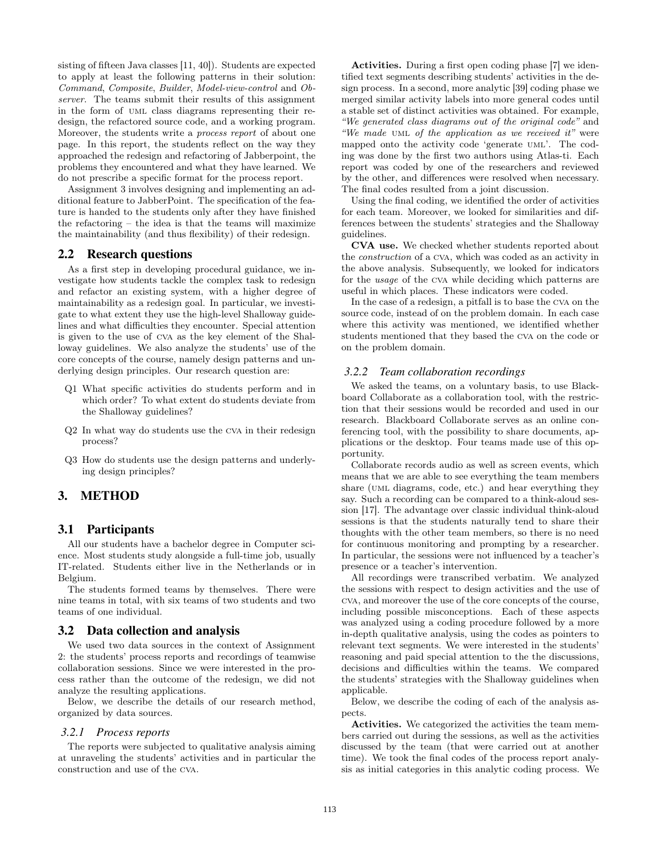sisting of fifteen Java classes [11, 40]). Students are expected to apply at least the following patterns in their solution: Command, Composite, Builder, Model-view-control and Observer. The teams submit their results of this assignment in the form of uml class diagrams representing their redesign, the refactored source code, and a working program. Moreover, the students write a *process report* of about one page. In this report, the students reflect on the way they approached the redesign and refactoring of Jabberpoint, the problems they encountered and what they have learned. We do not prescribe a specific format for the process report.

Assignment 3 involves designing and implementing an additional feature to JabberPoint. The specification of the feature is handed to the students only after they have finished the refactoring – the idea is that the teams will maximize the maintainability (and thus flexibility) of their redesign.

#### 2.2 Research questions

As a first step in developing procedural guidance, we investigate how students tackle the complex task to redesign and refactor an existing system, with a higher degree of maintainability as a redesign goal. In particular, we investigate to what extent they use the high-level Shalloway guidelines and what difficulties they encounter. Special attention is given to the use of cva as the key element of the Shalloway guidelines. We also analyze the students' use of the core concepts of the course, namely design patterns and underlying design principles. Our research question are:

- Q1 What specific activities do students perform and in which order? To what extent do students deviate from the Shalloway guidelines?
- Q2 In what way do students use the cva in their redesign process?
- Q3 How do students use the design patterns and underlying design principles?

### 3. METHOD

### 3.1 Participants

All our students have a bachelor degree in Computer science. Most students study alongside a full-time job, usually IT-related. Students either live in the Netherlands or in Belgium.

The students formed teams by themselves. There were nine teams in total, with six teams of two students and two teams of one individual.

#### 3.2 Data collection and analysis

We used two data sources in the context of Assignment 2: the students' process reports and recordings of teamwise collaboration sessions. Since we were interested in the process rather than the outcome of the redesign, we did not analyze the resulting applications.

Below, we describe the details of our research method, organized by data sources.

#### *3.2.1 Process reports*

The reports were subjected to qualitative analysis aiming at unraveling the students' activities and in particular the construction and use of the cva.

Activities. During a first open coding phase [7] we identified text segments describing students' activities in the design process. In a second, more analytic [39] coding phase we merged similar activity labels into more general codes until a stable set of distinct activities was obtained. For example, "We generated class diagrams out of the original code" and "We made uml of the application as we received it" were mapped onto the activity code 'generate UML'. The coding was done by the first two authors using Atlas-ti. Each report was coded by one of the researchers and reviewed by the other, and differences were resolved when necessary. The final codes resulted from a joint discussion.

Using the final coding, we identified the order of activities for each team. Moreover, we looked for similarities and differences between the students' strategies and the Shalloway guidelines.

CVA use. We checked whether students reported about the construction of a cva, which was coded as an activity in the above analysis. Subsequently, we looked for indicators for the usage of the cva while deciding which patterns are useful in which places. These indicators were coded.

In the case of a redesign, a pitfall is to base the cva on the source code, instead of on the problem domain. In each case where this activity was mentioned, we identified whether students mentioned that they based the cva on the code or on the problem domain.

#### *3.2.2 Team collaboration recordings*

We asked the teams, on a voluntary basis, to use Blackboard Collaborate as a collaboration tool, with the restriction that their sessions would be recorded and used in our research. Blackboard Collaborate serves as an online conferencing tool, with the possibility to share documents, applications or the desktop. Four teams made use of this opportunity.

Collaborate records audio as well as screen events, which means that we are able to see everything the team members share (uml diagrams, code, etc.) and hear everything they say. Such a recording can be compared to a think-aloud session [17]. The advantage over classic individual think-aloud sessions is that the students naturally tend to share their thoughts with the other team members, so there is no need for continuous monitoring and prompting by a researcher. In particular, the sessions were not influenced by a teacher's presence or a teacher's intervention.

All recordings were transcribed verbatim. We analyzed the sessions with respect to design activities and the use of cva, and moreover the use of the core concepts of the course, including possible misconceptions. Each of these aspects was analyzed using a coding procedure followed by a more in-depth qualitative analysis, using the codes as pointers to relevant text segments. We were interested in the students' reasoning and paid special attention to the the discussions, decisions and difficulties within the teams. We compared the students' strategies with the Shalloway guidelines when applicable.

Below, we describe the coding of each of the analysis aspects.

Activities. We categorized the activities the team members carried out during the sessions, as well as the activities discussed by the team (that were carried out at another time). We took the final codes of the process report analysis as initial categories in this analytic coding process. We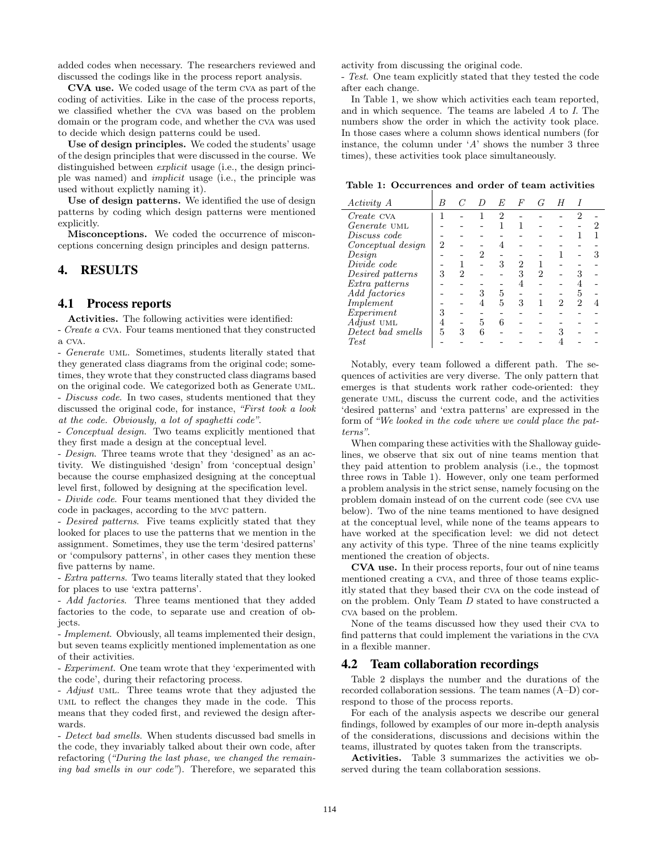added codes when necessary. The researchers reviewed and discussed the codings like in the process report analysis.

CVA use. We coded usage of the term cva as part of the coding of activities. Like in the case of the process reports, we classified whether the cva was based on the problem domain or the program code, and whether the cva was used to decide which design patterns could be used.

Use of design principles. We coded the students' usage of the design principles that were discussed in the course. We distinguished between *explicit* usage (i.e., the design principle was named) and implicit usage (i.e., the principle was used without explictly naming it).

Use of design patterns. We identified the use of design patterns by coding which design patterns were mentioned explicitly.

Misconceptions. We coded the occurrence of misconceptions concerning design principles and design patterns.

### 4. RESULTS

#### 4.1 Process reports

Activities. The following activities were identified: - Create a cva. Four teams mentioned that they constructed a cva.

- Generate uml. Sometimes, students literally stated that they generated class diagrams from the original code; sometimes, they wrote that they constructed class diagrams based on the original code. We categorized both as Generate uml. - Discuss code. In two cases, students mentioned that they discussed the original code, for instance, "First took a look at the code. Obviously, a lot of spaghetti code".

- Conceptual design. Two teams explicitly mentioned that they first made a design at the conceptual level.

- Design. Three teams wrote that they 'designed' as an activity. We distinguished 'design' from 'conceptual design' because the course emphasized designing at the conceptual level first, followed by designing at the specification level.

- Divide code. Four teams mentioned that they divided the code in packages, according to the mvc pattern.

- Desired patterns. Five teams explicitly stated that they looked for places to use the patterns that we mention in the assignment. Sometimes, they use the term 'desired patterns' or 'compulsory patterns', in other cases they mention these five patterns by name.

- Extra patterns. Two teams literally stated that they looked for places to use 'extra patterns'.

- Add factories. Three teams mentioned that they added factories to the code, to separate use and creation of objects.

- Implement. Obviously, all teams implemented their design, but seven teams explicitly mentioned implementation as one of their activities.

- Experiment. One team wrote that they 'experimented with the code', during their refactoring process.

- Adjust UML. Three teams wrote that they adjusted the uml to reflect the changes they made in the code. This means that they coded first, and reviewed the design afterwards.

- Detect bad smells. When students discussed bad smells in the code, they invariably talked about their own code, after refactoring ("During the last phase, we changed the remaining bad smells in our code"). Therefore, we separated this activity from discussing the original code.

- Test. One team explicitly stated that they tested the code after each change.

In Table 1, we show which activities each team reported, and in which sequence. The teams are labeled A to I. The numbers show the order in which the activity took place. In those cases where a column shows identical numbers (for instance, the column under  $A'$  shows the number 3 three times), these activities took place simultaneously.

Table 1: Occurrences and order of team activities

| <i>Activity A</i>   | B |   |   | E | F | G | Η |                |  |
|---------------------|---|---|---|---|---|---|---|----------------|--|
| Create CVA          |   |   |   | 2 |   |   |   | 2              |  |
| <i>Generate</i> UML |   |   |   |   |   |   |   |                |  |
| Discuss code        |   |   |   |   |   |   |   |                |  |
| Conceptual design   | 2 |   |   |   |   |   |   |                |  |
| Design              |   |   |   |   |   |   |   |                |  |
| Divide code         |   |   |   | 3 |   |   |   |                |  |
| Desired patterns    | 3 | 2 |   |   | 3 | 2 |   |                |  |
| Extra patterns      |   |   |   |   |   |   |   |                |  |
| Add factories       |   |   |   | 5 |   |   |   | 5              |  |
| Implement           |   |   |   | 5 | 3 |   | 2 | $\mathfrak{D}$ |  |
| Experiment          | 3 |   |   |   |   |   |   |                |  |
| <i>Adjust</i> UML   | 4 |   | 5 | 6 |   |   |   |                |  |
| Detect bad smells   | 5 | 3 |   |   |   |   |   |                |  |
| <i>Test</i>         |   |   |   |   |   |   |   |                |  |

Notably, every team followed a different path. The sequences of activities are very diverse. The only pattern that emerges is that students work rather code-oriented: they generate uml, discuss the current code, and the activities 'desired patterns' and 'extra patterns' are expressed in the form of "We looked in the code where we could place the patterns".

When comparing these activities with the Shalloway guidelines, we observe that six out of nine teams mention that they paid attention to problem analysis (i.e., the topmost three rows in Table 1). However, only one team performed a problem analysis in the strict sense, namely focusing on the problem domain instead of on the current code (see cva use below). Two of the nine teams mentioned to have designed at the conceptual level, while none of the teams appears to have worked at the specification level: we did not detect any activity of this type. Three of the nine teams explicitly mentioned the creation of objects.

CVA use. In their process reports, four out of nine teams mentioned creating a cva, and three of those teams explicitly stated that they based their cva on the code instead of on the problem. Only Team D stated to have constructed a cva based on the problem.

None of the teams discussed how they used their cva to find patterns that could implement the variations in the cva in a flexible manner.

#### 4.2 Team collaboration recordings

Table 2 displays the number and the durations of the recorded collaboration sessions. The team names (A–D) correspond to those of the process reports.

For each of the analysis aspects we describe our general findings, followed by examples of our more in-depth analysis of the considerations, discussions and decisions within the teams, illustrated by quotes taken from the transcripts.

Activities. Table 3 summarizes the activities we observed during the team collaboration sessions.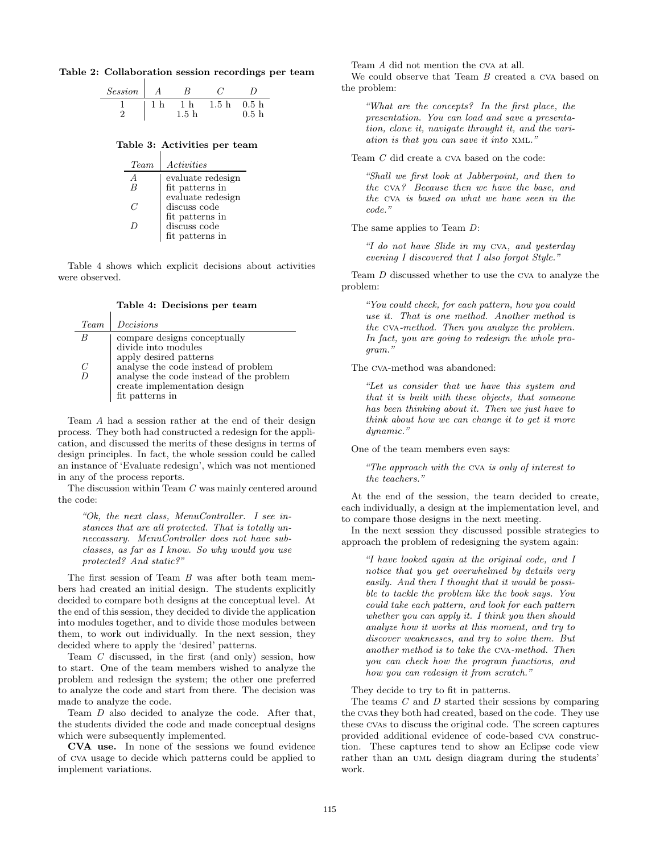Table 2: Collaboration session recordings per team

 $\perp$ 

| <i>Session</i> |         |                  |              |
|----------------|---------|------------------|--------------|
|                | h<br>-5 | 1.5 <sub>h</sub> | 0.5h<br>0.5h |
|                |         |                  |              |

# Table 3: Activities per team

| <i>Team</i> | Activities        |
|-------------|-------------------|
|             | evaluate redesign |
| B           | fit patterns in   |
|             | evaluate redesign |
| C.          | discuss code      |
|             | fit patterns in   |
| $\prime$    | discuss code      |
|             | fit patterns in   |

Table 4 shows which explicit decisions about activities were observed.

#### Table 4: Decisions per team

| Team | Decisions                                                               |
|------|-------------------------------------------------------------------------|
|      | compare designs conceptually                                            |
|      | divide into modules<br>apply desired patterns                           |
| C    | analyse the code instead of problem                                     |
|      | analyse the code instead of the problem<br>create implementation design |
|      | fit patterns in                                                         |

Team A had a session rather at the end of their design process. They both had constructed a redesign for the application, and discussed the merits of these designs in terms of design principles. In fact, the whole session could be called an instance of 'Evaluate redesign', which was not mentioned in any of the process reports.

The discussion within Team C was mainly centered around the code:

"Ok, the next class, MenuController. I see instances that are all protected. That is totally unneccassary. MenuController does not have subclasses, as far as I know. So why would you use protected? And static?"

The first session of Team B was after both team members had created an initial design. The students explicitly decided to compare both designs at the conceptual level. At the end of this session, they decided to divide the application into modules together, and to divide those modules between them, to work out individually. In the next session, they decided where to apply the 'desired' patterns.

Team C discussed, in the first (and only) session, how to start. One of the team members wished to analyze the problem and redesign the system; the other one preferred to analyze the code and start from there. The decision was made to analyze the code.

Team D also decided to analyze the code. After that, the students divided the code and made conceptual designs which were subsequently implemented.

CVA use. In none of the sessions we found evidence of cva usage to decide which patterns could be applied to implement variations.

Team A did not mention the cva at all.

We could observe that Team B created a CVA based on the problem:

"What are the concepts? In the first place, the presentation. You can load and save a presentation, clone it, navigate throught it, and the variation is that you can save it into XML."

Team C did create a cva based on the code:

"Shall we first look at Jabberpoint, and then to the cva? Because then we have the base, and the cva is based on what we have seen in the code."

The same applies to Team D:

"I do not have Slide in my cva, and yesterday evening I discovered that I also forgot Style."

Team D discussed whether to use the cva to analyze the problem:

"You could check, for each pattern, how you could use it. That is one method. Another method is the cva-method. Then you analyze the problem. In fact, you are going to redesign the whole program."

The cva-method was abandoned:

"Let us consider that we have this system and that it is built with these objects, that someone has been thinking about it. Then we just have to think about how we can change it to get it more dynamic."

One of the team members even says:

"The approach with the cva is only of interest to the teachers."

At the end of the session, the team decided to create, each individually, a design at the implementation level, and to compare those designs in the next meeting.

In the next session they discussed possible strategies to approach the problem of redesigning the system again:

"I have looked again at the original code, and I notice that you get overwhelmed by details very easily. And then I thought that it would be possible to tackle the problem like the book says. You could take each pattern, and look for each pattern whether you can apply it. I think you then should analyze how it works at this moment, and try to discover weaknesses, and try to solve them. But another method is to take the cva-method. Then you can check how the program functions, and how you can redesign it from scratch."

They decide to try to fit in patterns.

The teams C and D started their sessions by comparing the cvas they both had created, based on the code. They use these cvas to discuss the original code. The screen captures provided additional evidence of code-based cva construction. These captures tend to show an Eclipse code view rather than an UML design diagram during the students' work.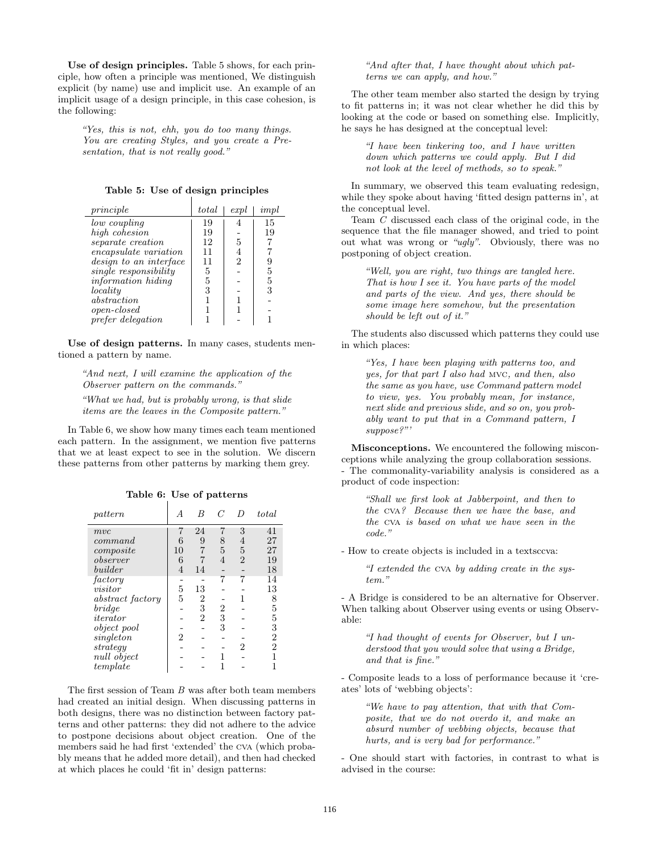Use of design principles. Table 5 shows, for each principle, how often a principle was mentioned, We distinguish explicit (by name) use and implicit use. An example of an implicit usage of a design principle, in this case cohesion, is the following:

"Yes, this is not, ehh, you do too many things. You are creating Styles, and you create a Presentation, that is not really good."

| Table 5: Use of design principles |  |  |  |  |  |
|-----------------------------------|--|--|--|--|--|
|-----------------------------------|--|--|--|--|--|

| principle                 | total | expl | impl |
|---------------------------|-------|------|------|
| low coupling              | 19    |      | 15   |
| high cohesion             | 19    |      | 19   |
| separate creation         | 12    | 5    |      |
| encapsulate variation     | 11    |      |      |
| design to an interface    | 11    | 2    |      |
| single responsibility     | 5     |      | 5    |
| <i>information hiding</i> | 5     |      | 5    |
| locality                  | 3     |      | 3    |
| abstraction               |       |      |      |
| $open-closed$             |       |      |      |
| prefer delegation         |       |      |      |

Use of design patterns. In many cases, students mentioned a pattern by name.

"And next, I will examine the application of the Observer pattern on the commands."

"What we had, but is probably wrong, is that slide items are the leaves in the Composite pattern."

In Table 6, we show how many times each team mentioned each pattern. In the assignment, we mention five patterns that we at least expect to see in the solution. We discern these patterns from other patterns by marking them grey.

| pattern                 | А  | B              | C | D              | total          |
|-------------------------|----|----------------|---|----------------|----------------|
| mvc                     |    | 24             |   | 3              | 41             |
| command                 | 6  | 9              | 8 | 4              | 27             |
| composite               | 10 |                | 5 | 5              | 27             |
| observer                | 6  |                | 4 | $\overline{2}$ | 19             |
| builder                 | 4  | 14             |   |                | 18             |
| factory                 |    |                |   |                | 14             |
| visitor                 | 5  | 13             |   |                | 13             |
| <i>abstract factory</i> | 5  | 2              |   |                | 8              |
| bridge                  |    | 3              | 2 |                | 5              |
| iterator                |    | $\overline{2}$ | 3 |                | 5              |
| <i>object</i> pool      |    |                | 3 |                | 3              |
| $sing le t\$            | 2  |                |   |                | 2              |
| strategy                |    |                |   | 2              | $\overline{2}$ |
| null object             |    |                |   |                |                |
| template                |    |                |   |                |                |

Table 6: Use of patterns

The first session of Team B was after both team members had created an initial design. When discussing patterns in both designs, there was no distinction between factory patterns and other patterns: they did not adhere to the advice to postpone decisions about object creation. One of the members said he had first 'extended' the cva (which probably means that he added more detail), and then had checked at which places he could 'fit in' design patterns:

"And after that, I have thought about which patterns we can apply, and how."

The other team member also started the design by trying to fit patterns in; it was not clear whether he did this by looking at the code or based on something else. Implicitly, he says he has designed at the conceptual level:

"I have been tinkering too, and I have written down which patterns we could apply. But I did not look at the level of methods, so to speak."

In summary, we observed this team evaluating redesign, while they spoke about having 'fitted design patterns in', at the conceptual level.

Team C discussed each class of the original code, in the sequence that the file manager showed, and tried to point out what was wrong or "ugly". Obviously, there was no postponing of object creation.

"Well, you are right, two things are tangled here. That is how I see it. You have parts of the model and parts of the view. And yes, there should be some image here somehow, but the presentation should be left out of it."

The students also discussed which patterns they could use in which places:

"Yes, I have been playing with patterns too, and yes, for that part I also had mvc, and then, also the same as you have, use Command pattern model to view, yes. You probably mean, for instance, next slide and previous slide, and so on, you probably want to put that in a Command pattern, I suppose?"'

Misconceptions. We encountered the following misconceptions while analyzing the group collaboration sessions. - The commonality-variability analysis is considered as a product of code inspection:

"Shall we first look at Jabberpoint, and then to the cva? Because then we have the base, and the cva is based on what we have seen in the code."

- How to create objects is included in a textsccva:

"I extended the cva by adding create in the system."

- A Bridge is considered to be an alternative for Observer. When talking about Observer using events or using Observable:

"I had thought of events for Observer, but I understood that you would solve that using a Bridge, and that is fine."

- Composite leads to a loss of performance because it 'creates' lots of 'webbing objects':

"We have to pay attention, that with that Composite, that we do not overdo it, and make an absurd number of webbing objects, because that hurts, and is very bad for performance."

- One should start with factories, in contrast to what is advised in the course: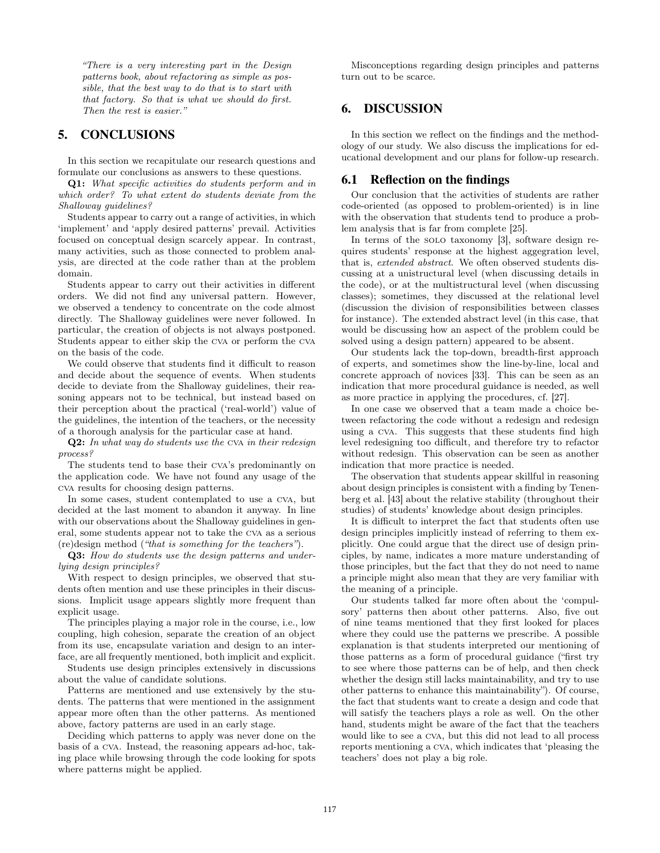"There is a very interesting part in the Design patterns book, about refactoring as simple as possible, that the best way to do that is to start with that factory. So that is what we should do first. Then the rest is easier."

### 5. CONCLUSIONS

In this section we recapitulate our research questions and formulate our conclusions as answers to these questions.

Q1: What specific activities do students perform and in which order? To what extent do students deviate from the Shalloway guidelines?

Students appear to carry out a range of activities, in which 'implement' and 'apply desired patterns' prevail. Activities focused on conceptual design scarcely appear. In contrast, many activities, such as those connected to problem analysis, are directed at the code rather than at the problem domain.

Students appear to carry out their activities in different orders. We did not find any universal pattern. However, we observed a tendency to concentrate on the code almost directly. The Shalloway guidelines were never followed. In particular, the creation of objects is not always postponed. Students appear to either skip the cva or perform the cva on the basis of the code.

We could observe that students find it difficult to reason and decide about the sequence of events. When students decide to deviate from the Shalloway guidelines, their reasoning appears not to be technical, but instead based on their perception about the practical ('real-world') value of the guidelines, the intention of the teachers, or the necessity of a thorough analysis for the particular case at hand.

Q2: In what way do students use the CVA in their redesign process?

The students tend to base their cva's predominantly on the application code. We have not found any usage of the cva results for choosing design patterns.

In some cases, student contemplated to use a cva, but decided at the last moment to abandon it anyway. In line with our observations about the Shalloway guidelines in general, some students appear not to take the cva as a serious (re)design method ("that is something for the teachers").

Q3: How do students use the design patterns and underlying design principles?

With respect to design principles, we observed that students often mention and use these principles in their discussions. Implicit usage appears slightly more frequent than explicit usage.

The principles playing a major role in the course, i.e., low coupling, high cohesion, separate the creation of an object from its use, encapsulate variation and design to an interface, are all frequently mentioned, both implicit and explicit.

Students use design principles extensively in discussions about the value of candidate solutions.

Patterns are mentioned and use extensively by the students. The patterns that were mentioned in the assignment appear more often than the other patterns. As mentioned above, factory patterns are used in an early stage.

Deciding which patterns to apply was never done on the basis of a cva. Instead, the reasoning appears ad-hoc, taking place while browsing through the code looking for spots where patterns might be applied.

Misconceptions regarding design principles and patterns turn out to be scarce.

## 6. DISCUSSION

In this section we reflect on the findings and the methodology of our study. We also discuss the implications for educational development and our plans for follow-up research.

### 6.1 Reflection on the findings

Our conclusion that the activities of students are rather code-oriented (as opposed to problem-oriented) is in line with the observation that students tend to produce a problem analysis that is far from complete [25].

In terms of the solo taxonomy [3], software design requires students' response at the highest aggegration level, that is, extended abstract. We often observed students discussing at a unistructural level (when discussing details in the code), or at the multistructural level (when discussing classes); sometimes, they discussed at the relational level (discussion the division of responsibilities between classes for instance). The extended abstract level (in this case, that would be discussing how an aspect of the problem could be solved using a design pattern) appeared to be absent.

Our students lack the top-down, breadth-first approach of experts, and sometimes show the line-by-line, local and concrete approach of novices [33]. This can be seen as an indication that more procedural guidance is needed, as well as more practice in applying the procedures, cf. [27].

In one case we observed that a team made a choice between refactoring the code without a redesign and redesign using a cva. This suggests that these students find high level redesigning too difficult, and therefore try to refactor without redesign. This observation can be seen as another indication that more practice is needed.

The observation that students appear skillful in reasoning about design principles is consistent with a finding by Tenenberg et al. [43] about the relative stability (throughout their studies) of students' knowledge about design principles.

It is difficult to interpret the fact that students often use design principles implicitly instead of referring to them explicitly. One could argue that the direct use of design principles, by name, indicates a more mature understanding of those principles, but the fact that they do not need to name a principle might also mean that they are very familiar with the meaning of a principle.

Our students talked far more often about the 'compulsory' patterns then about other patterns. Also, five out of nine teams mentioned that they first looked for places where they could use the patterns we prescribe. A possible explanation is that students interpreted our mentioning of those patterns as a form of procedural guidance ("first try to see where those patterns can be of help, and then check whether the design still lacks maintainability, and try to use other patterns to enhance this maintainability"). Of course, the fact that students want to create a design and code that will satisfy the teachers plays a role as well. On the other hand, students might be aware of the fact that the teachers would like to see a cva, but this did not lead to all process reports mentioning a cva, which indicates that 'pleasing the teachers' does not play a big role.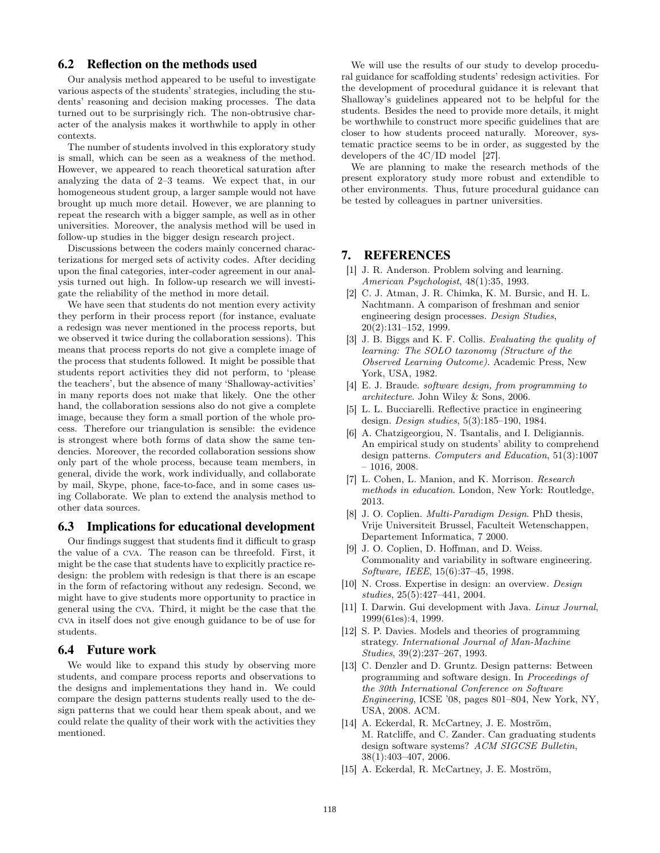### 6.2 Reflection on the methods used

Our analysis method appeared to be useful to investigate various aspects of the students' strategies, including the students' reasoning and decision making processes. The data turned out to be surprisingly rich. The non-obtrusive character of the analysis makes it worthwhile to apply in other contexts.

The number of students involved in this exploratory study is small, which can be seen as a weakness of the method. However, we appeared to reach theoretical saturation after analyzing the data of 2–3 teams. We expect that, in our homogeneous student group, a larger sample would not have brought up much more detail. However, we are planning to repeat the research with a bigger sample, as well as in other universities. Moreover, the analysis method will be used in follow-up studies in the bigger design research project.

Discussions between the coders mainly concerned characterizations for merged sets of activity codes. After deciding upon the final categories, inter-coder agreement in our analysis turned out high. In follow-up research we will investigate the reliability of the method in more detail.

We have seen that students do not mention every activity they perform in their process report (for instance, evaluate a redesign was never mentioned in the process reports, but we observed it twice during the collaboration sessions). This means that process reports do not give a complete image of the process that students followed. It might be possible that students report activities they did not perform, to 'please the teachers', but the absence of many 'Shalloway-activities' in many reports does not make that likely. One the other hand, the collaboration sessions also do not give a complete image, because they form a small portion of the whole process. Therefore our triangulation is sensible: the evidence is strongest where both forms of data show the same tendencies. Moreover, the recorded collaboration sessions show only part of the whole process, because team members, in general, divide the work, work individually, and collaborate by mail, Skype, phone, face-to-face, and in some cases using Collaborate. We plan to extend the analysis method to other data sources.

### 6.3 Implications for educational development

Our findings suggest that students find it difficult to grasp the value of a cva. The reason can be threefold. First, it might be the case that students have to explicitly practice redesign: the problem with redesign is that there is an escape in the form of refactoring without any redesign. Second, we might have to give students more opportunity to practice in general using the cva. Third, it might be the case that the cva in itself does not give enough guidance to be of use for students.

### 6.4 Future work

We would like to expand this study by observing more students, and compare process reports and observations to the designs and implementations they hand in. We could compare the design patterns students really used to the design patterns that we could hear them speak about, and we could relate the quality of their work with the activities they mentioned.

We will use the results of our study to develop procedural guidance for scaffolding students' redesign activities. For the development of procedural guidance it is relevant that Shalloway's guidelines appeared not to be helpful for the students. Besides the need to provide more details, it might be worthwhile to construct more specific guidelines that are closer to how students proceed naturally. Moreover, systematic practice seems to be in order, as suggested by the developers of the 4C/ID model [27].

We are planning to make the research methods of the present exploratory study more robust and extendible to other environments. Thus, future procedural guidance can be tested by colleagues in partner universities.

### 7. REFERENCES

- [1] J. R. Anderson. Problem solving and learning. American Psychologist, 48(1):35, 1993.
- [2] C. J. Atman, J. R. Chimka, K. M. Bursic, and H. L. Nachtmann. A comparison of freshman and senior engineering design processes. Design Studies, 20(2):131–152, 1999.
- [3] J. B. Biggs and K. F. Collis. Evaluating the quality of learning: The SOLO taxonomy (Structure of the Observed Learning Outcome). Academic Press, New York, USA, 1982.
- [4] E. J. Braude. software design, from programming to architecture. John Wiley & Sons, 2006.
- [5] L. L. Bucciarelli. Reflective practice in engineering design. Design studies, 5(3):185–190, 1984.
- [6] A. Chatzigeorgiou, N. Tsantalis, and I. Deligiannis. An empirical study on students' ability to comprehend design patterns. Computers and Education, 51(3):1007 – 1016, 2008.
- [7] L. Cohen, L. Manion, and K. Morrison. Research methods in education. London, New York: Routledge, 2013.
- [8] J. O. Coplien. *Multi-Paradigm Design*. PhD thesis, Vrije Universiteit Brussel, Faculteit Wetenschappen, Departement Informatica, 7 2000.
- [9] J. O. Coplien, D. Hoffman, and D. Weiss. Commonality and variability in software engineering. Software, IEEE, 15(6):37–45, 1998.
- [10] N. Cross. Expertise in design: an overview. Design studies, 25(5):427–441, 2004.
- [11] I. Darwin. Gui development with Java. Linux Journal, 1999(61es):4, 1999.
- [12] S. P. Davies. Models and theories of programming strategy. International Journal of Man-Machine Studies, 39(2):237–267, 1993.
- [13] C. Denzler and D. Gruntz. Design patterns: Between programming and software design. In Proceedings of the 30th International Conference on Software Engineering, ICSE '08, pages 801–804, New York, NY, USA, 2008. ACM.
- [14] A. Eckerdal, R. McCartney, J. E. Moström, M. Ratcliffe, and C. Zander. Can graduating students design software systems? ACM SIGCSE Bulletin, 38(1):403–407, 2006.
- [15] A. Eckerdal, R. McCartney, J. E. Moström,